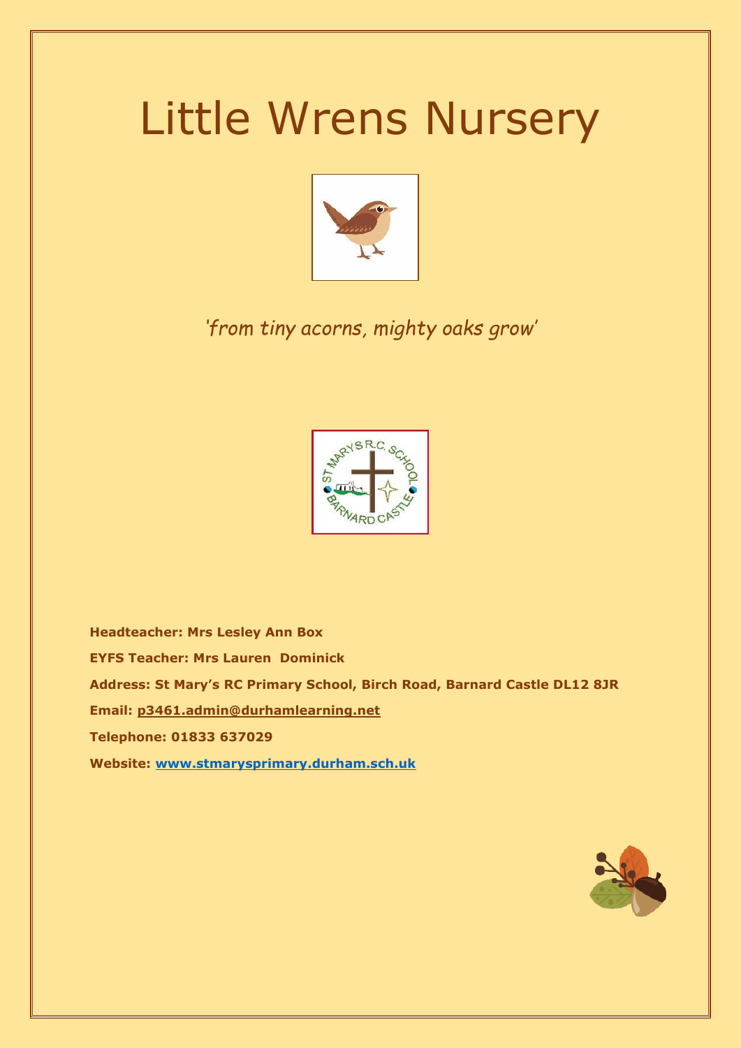# Little Wrens Nursery



## *'from tiny acorns, mighty oaks grow'*



**Headteacher: Mrs Lesley Ann Box EYFS Teacher: Mrs Lauren Dominick Address: St Mary's RC Primary School, Birch Road, Barnard Castle DL12 8JR Email: [p3461.admin@durhamlearning.net](mailto:p3461.admin@durhamlearning.net) Telephone: 01833 637029 Website: [www.stmarysprimary.durham.sch.uk](http://www.stmarysprimary.durham.sch.uk/)**

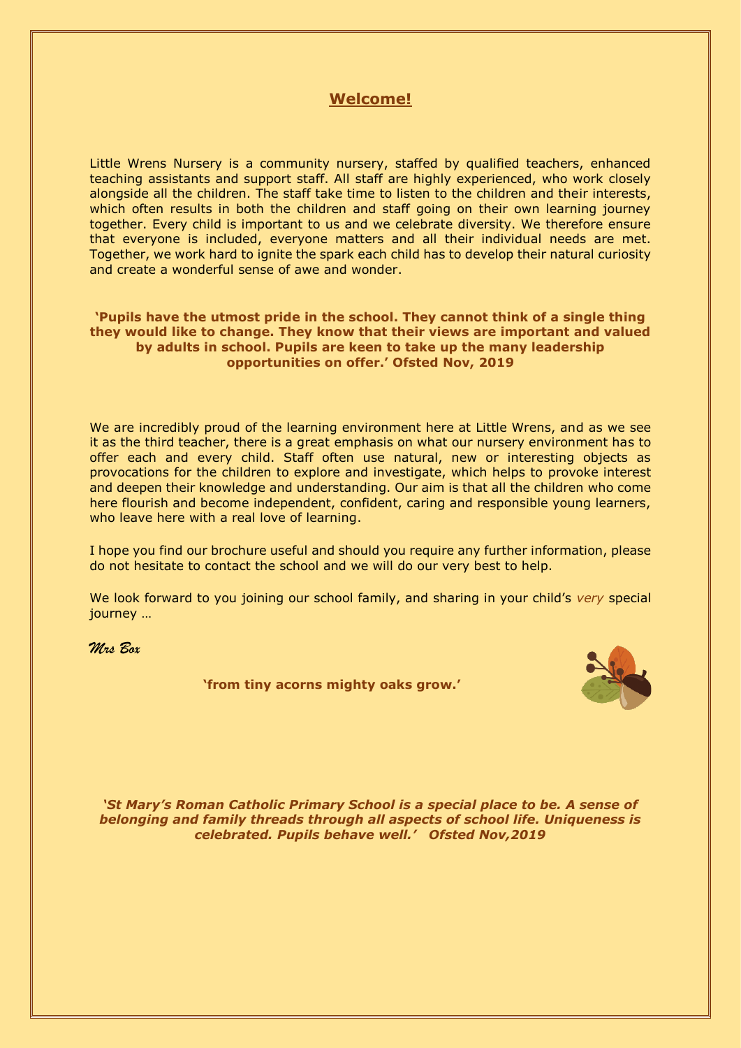## **Welcome!**

Little Wrens Nursery is a community nursery, staffed by qualified teachers, enhanced teaching assistants and support staff. All staff are highly experienced, who work closely alongside all the children. The staff take time to listen to the children and their interests, which often results in both the children and staff going on their own learning journey together. Every child is important to us and we celebrate diversity. We therefore ensure that everyone is included, everyone matters and all their individual needs are met. Together, we work hard to ignite the spark each child has to develop their natural curiosity and create a wonderful sense of awe and wonder.

#### **'Pupils have the utmost pride in the school. They cannot think of a single thing they would like to change. They know that their views are important and valued by adults in school. Pupils are keen to take up the many leadership opportunities on offer.' Ofsted Nov, 2019**

We are incredibly proud of the learning environment here at Little Wrens, and as we see it as the third teacher, there is a great emphasis on what our nursery environment has to offer each and every child. Staff often use natural, new or interesting objects as provocations for the children to explore and investigate, which helps to provoke interest and deepen their knowledge and understanding. Our aim is that all the children who come here flourish and become independent, confident, caring and responsible young learners, who leave here with a real love of learning.

I hope you find our brochure useful and should you require any further information, please do not hesitate to contact the school and we will do our very best to help.

We look forward to you joining our school family, and sharing in your child's *very* special journey …

*Mrs Box*

**'from tiny acorns mighty oaks grow.'**



*'St Mary's Roman Catholic Primary School is a special place to be. A sense of belonging and family threads through all aspects of school life. Uniqueness is celebrated. Pupils behave well.' Ofsted Nov,2019*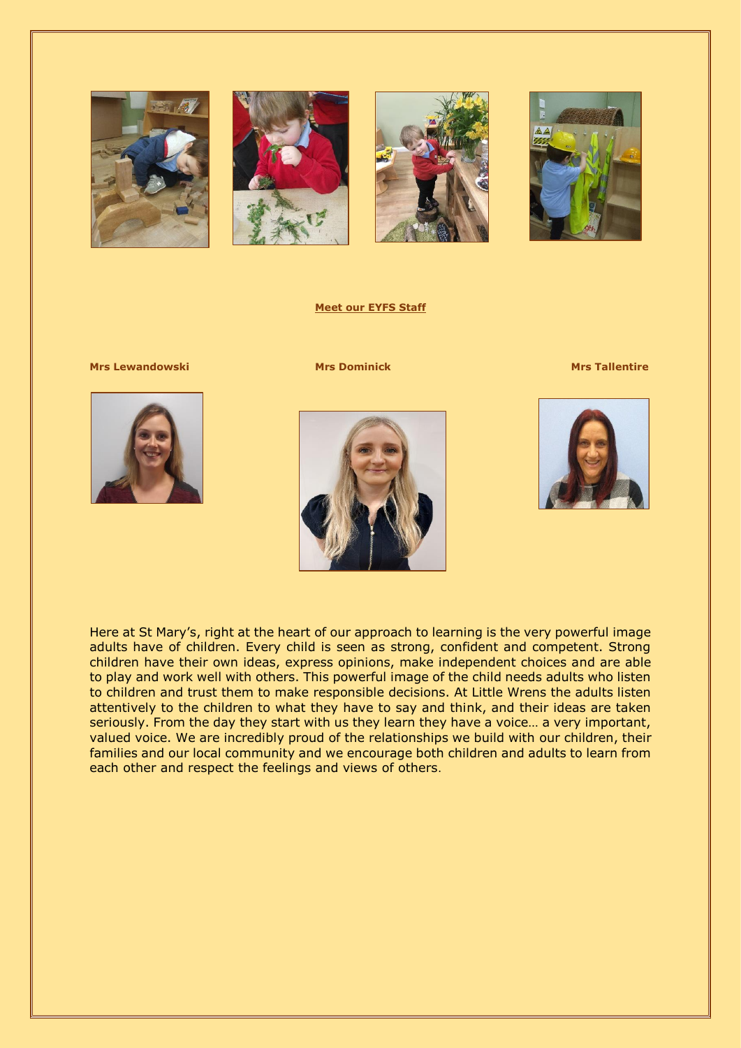

#### **Meet our EYFS Staff**

#### **Mrs Lewandowski Mrs Dominick Mrs Dominick Mrs Tallentire**







Here at St Mary's, right at the heart of our approach to learning is the very powerful image adults have of children. Every child is seen as strong, confident and competent. Strong children have their own ideas, express opinions, make independent choices and are able to play and work well with others. This powerful image of the child needs adults who listen to children and trust them to make responsible decisions. At Little Wrens the adults listen attentively to the children to what they have to say and think, and their ideas are taken seriously. From the day they start with us they learn they have a voice… a very important, valued voice. We are incredibly proud of the relationships we build with our children, their families and our local community and we encourage both children and adults to learn from each other and respect the feelings and views of others.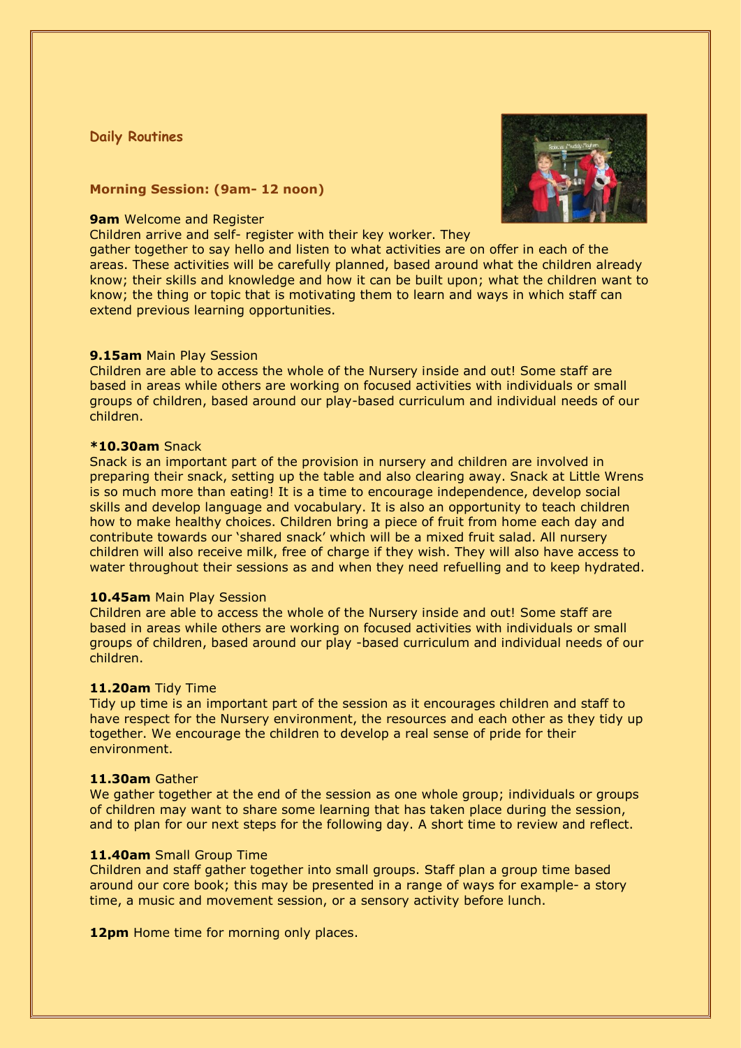#### **Daily Routines**



#### **Morning Session: (9am- 12 noon)**

#### **9am** Welcome and Register

Children arrive and self- register with their key worker. They

gather together to say hello and listen to what activities are on offer in each of the areas. These activities will be carefully planned, based around what the children already know; their skills and knowledge and how it can be built upon; what the children want to know; the thing or topic that is motivating them to learn and ways in which staff can extend previous learning opportunities.

#### **9.15am** Main Play Session

Children are able to access the whole of the Nursery inside and out! Some staff are based in areas while others are working on focused activities with individuals or small groups of children, based around our play-based curriculum and individual needs of our children.

#### **\*10.30am** Snack

Snack is an important part of the provision in nursery and children are involved in preparing their snack, setting up the table and also clearing away. Snack at Little Wrens is so much more than eating! It is a time to encourage independence, develop social skills and develop language and vocabulary. It is also an opportunity to teach children how to make healthy choices. Children bring a piece of fruit from home each day and contribute towards our 'shared snack' which will be a mixed fruit salad. All nursery children will also receive milk, free of charge if they wish. They will also have access to water throughout their sessions as and when they need refuelling and to keep hydrated.

#### **10.45am** Main Play Session

Children are able to access the whole of the Nursery inside and out! Some staff are based in areas while others are working on focused activities with individuals or small groups of children, based around our play -based curriculum and individual needs of our children.

#### **11.20am** Tidy Time

Tidy up time is an important part of the session as it encourages children and staff to have respect for the Nursery environment, the resources and each other as they tidy up together. We encourage the children to develop a real sense of pride for their environment.

#### **11.30am** Gather

We gather together at the end of the session as one whole group; individuals or groups of children may want to share some learning that has taken place during the session, and to plan for our next steps for the following day. A short time to review and reflect.

#### **11.40am** Small Group Time

Children and staff gather together into small groups. Staff plan a group time based around our core book; this may be presented in a range of ways for example- a story time, a music and movement session, or a sensory activity before lunch.

**12pm** Home time for morning only places.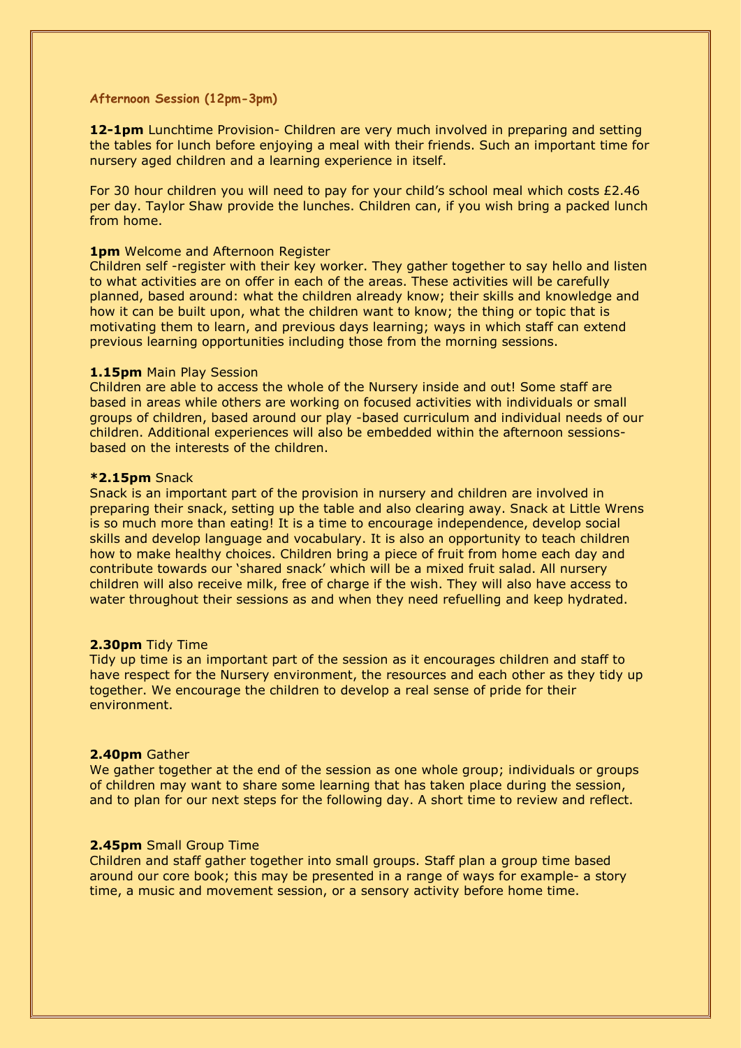#### **Afternoon Session (12pm-3pm)**

**12-1pm** Lunchtime Provision- Children are very much involved in preparing and setting the tables for lunch before enjoying a meal with their friends. Such an important time for nursery aged children and a learning experience in itself.

For 30 hour children you will need to pay for your child's school meal which costs £2.46 per day. Taylor Shaw provide the lunches. Children can, if you wish bring a packed lunch from home.

#### **1pm** Welcome and Afternoon Register

Children self -register with their key worker. They gather together to say hello and listen to what activities are on offer in each of the areas. These activities will be carefully planned, based around: what the children already know; their skills and knowledge and how it can be built upon, what the children want to know; the thing or topic that is motivating them to learn, and previous days learning; ways in which staff can extend previous learning opportunities including those from the morning sessions.

#### **1.15pm** Main Play Session

Children are able to access the whole of the Nursery inside and out! Some staff are based in areas while others are working on focused activities with individuals or small groups of children, based around our play -based curriculum and individual needs of our children. Additional experiences will also be embedded within the afternoon sessionsbased on the interests of the children.

#### **\*2.15pm** Snack

Snack is an important part of the provision in nursery and children are involved in preparing their snack, setting up the table and also clearing away. Snack at Little Wrens is so much more than eating! It is a time to encourage independence, develop social skills and develop language and vocabulary. It is also an opportunity to teach children how to make healthy choices. Children bring a piece of fruit from home each day and contribute towards our 'shared snack' which will be a mixed fruit salad. All nursery children will also receive milk, free of charge if the wish. They will also have access to water throughout their sessions as and when they need refuelling and keep hydrated.

#### **2.30pm** Tidy Time

Tidy up time is an important part of the session as it encourages children and staff to have respect for the Nursery environment, the resources and each other as they tidy up together. We encourage the children to develop a real sense of pride for their environment.

#### **2.40pm** Gather

We gather together at the end of the session as one whole group; individuals or groups of children may want to share some learning that has taken place during the session, and to plan for our next steps for the following day. A short time to review and reflect.

#### **2.45pm** Small Group Time

Children and staff gather together into small groups. Staff plan a group time based around our core book; this may be presented in a range of ways for example- a story time, a music and movement session, or a sensory activity before home time.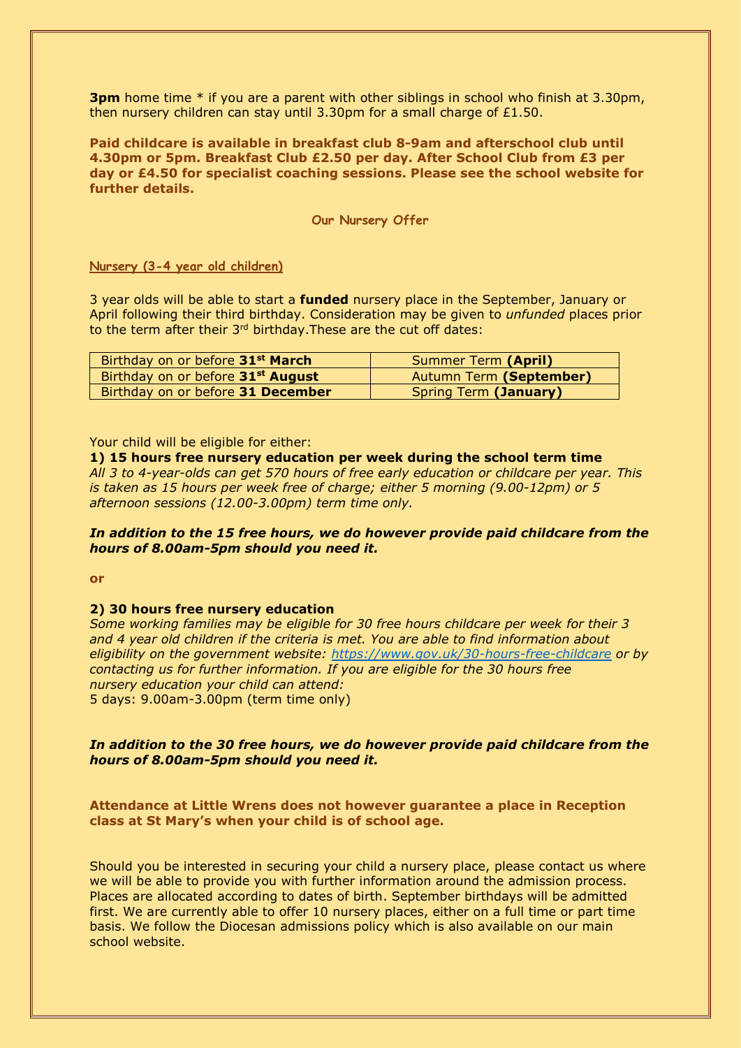**3pm** home time \* if you are a parent with other siblings in school who finish at 3.30pm, then nursery children can stay until 3.30pm for a small charge of £1.50.

**Paid childcare is available in breakfast club 8-9am and afterschool club until 4.30pm or 5pm. Breakfast Club £2.50 per day. After School Club from £3 per day or £4.50 for specialist coaching sessions. Please see the school website for further details.**

#### **Our Nursery Offer**

#### **Nursery (3-4 year old children)**

3 year olds will be able to start a **funded** nursery place in the September, January or April following their third birthday. Consideration may be given to *unfunded* places prior to the term after their 3<sup>rd</sup> birthday. These are the cut off dates:

| Birthday on or before 31 <sup>st</sup> March  | Summer Term (April)     |
|-----------------------------------------------|-------------------------|
| Birthday on or before 31 <sup>st</sup> August | Autumn Term (September) |
| Birthday on or before 31 December             | Spring Term (January)   |

Your child will be eligible for either:

**1) 15 hours free nursery education per week during the school term time** *All 3 to 4-year-olds can get 570 hours of free early education or childcare per year. This is taken as 15 hours per week free of charge; either 5 morning (9.00-12pm) or 5 afternoon sessions (12.00-3.00pm) term time only.* 

*In addition to the 15 free hours, we do however provide paid childcare from the hours of 8.00am-5pm should you need it.*

**or**

#### **2) 30 hours free nursery education**

*Some working families may be eligible for 30 free hours childcare per week for their 3 and 4 year old children if the criteria is met. You are able to find information about eligibility on the government website: <https://www.gov.uk/30-hours-free-childcare> or by contacting us for further information. If you are eligible for the 30 hours free nursery education your child can attend:* 5 days: 9.00am-3.00pm (term time only)

#### *In addition to the 30 free hours, we do however provide paid childcare from the hours of 8.00am-5pm should you need it.*

#### **Attendance at Little Wrens does not however guarantee a place in Reception class at St Mary's when your child is of school age.**

Should you be interested in securing your child a nursery place, please contact us where we will be able to provide you with further information around the admission process. Places are allocated according to dates of birth. September birthdays will be admitted first. We are currently able to offer 10 nursery places, either on a full time or part time basis. We follow the Diocesan admissions policy which is also available on our main school website.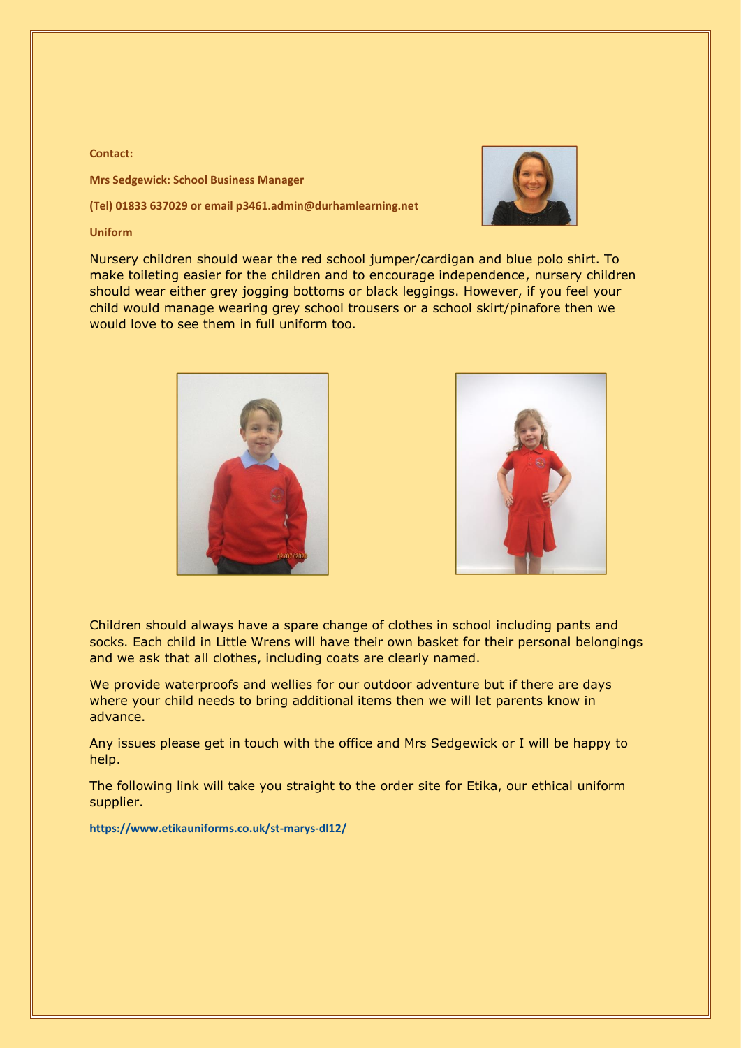#### **Contact:**

**Uniform**

**Mrs Sedgewick: School Business Manager** 

**(Tel) 01833 637029 or email p3461.admin@durhamlearning.net**

Nursery children should wear the red school jumper/cardigan and blue polo shirt. To make toileting easier for the children and to encourage independence, nursery children should wear either grey jogging bottoms or black leggings. However, if you feel your child would manage wearing grey school trousers or a school skirt/pinafore then we would love to see them in full uniform too.





Children should always have a spare change of clothes in school including pants and socks. Each child in Little Wrens will have their own basket for their personal belongings and we ask that all clothes, including coats are clearly named.

We provide waterproofs and wellies for our outdoor adventure but if there are days where your child needs to bring additional items then we will let parents know in advance.

Any issues please get in touch with the office and Mrs Sedgewick or I will be happy to help.

The following link will take you straight to the order site for Etika, our ethical uniform supplier.

**https://www.etikauniforms.co.uk/st-marys-dl12/**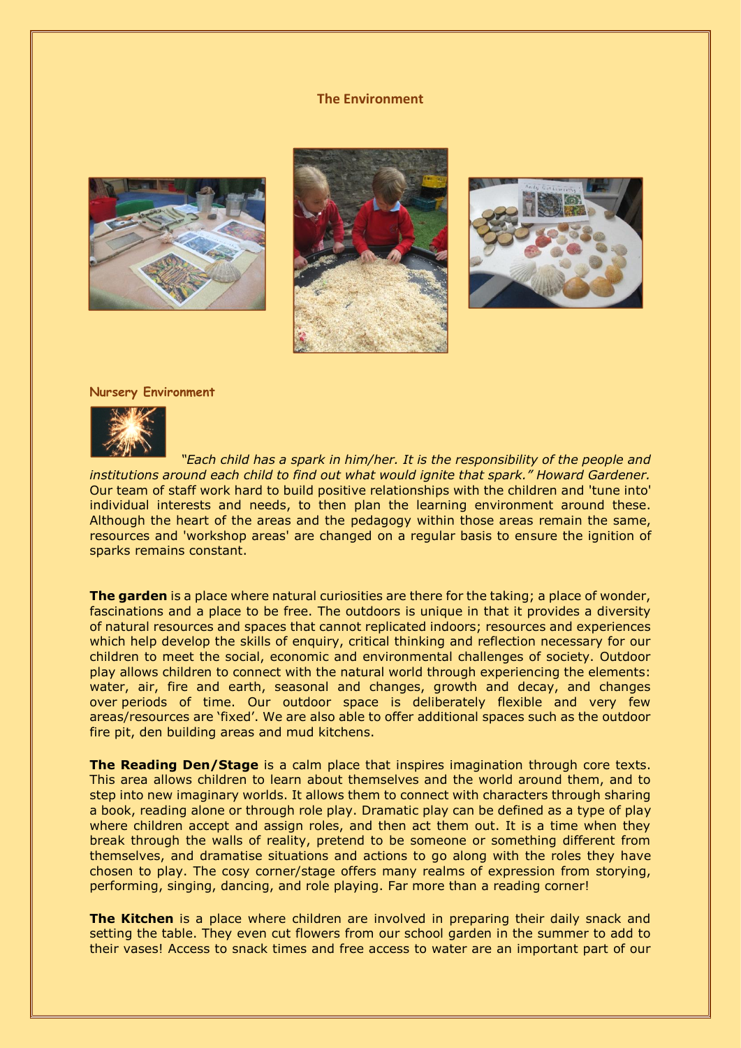#### **The Environment**







**Nursery Environment**



*"Each child has a spark in him/her. It is the responsibility of the people and institutions around each child to find out what would ignite that spark." Howard Gardener.*  Our team of staff work hard to build positive relationships with the children and 'tune into' individual interests and needs, to then plan the learning environment around these. Although the heart of the areas and the pedagogy within those areas remain the same, resources and 'workshop areas' are changed on a regular basis to ensure the ignition of sparks remains constant.

**The garden** is a place where natural curiosities are there for the taking; a place of wonder, fascinations and a place to be free. The outdoors is unique in that it provides a diversity of natural resources and spaces that cannot replicated indoors; resources and experiences which help develop the skills of enquiry, critical thinking and reflection necessary for our children to meet the social, economic and environmental challenges of society. Outdoor play allows children to connect with the natural world through experiencing the elements: water, air, fire and earth, seasonal and changes, growth and decay, and changes over periods of time. Our outdoor space is deliberately flexible and very few areas/resources are 'fixed'. We are also able to offer additional spaces such as the outdoor fire pit, den building areas and mud kitchens.

**The Reading Den/Stage** is a calm place that inspires imagination through core texts. This area allows children to learn about themselves and the world around them, and to step into new imaginary worlds. It allows them to connect with characters through sharing a book, reading alone or through role play. Dramatic play can be defined as a type of play where children accept and assign roles, and then act them out. It is a time when they break through the walls of reality, pretend to be someone or something different from themselves, and dramatise situations and actions to go along with the roles they have chosen to play. The cosy corner/stage offers many realms of expression from storying, performing, singing, dancing, and role playing. Far more than a reading corner!

**The Kitchen** is a place where children are involved in preparing their daily snack and setting the table. They even cut flowers from our school garden in the summer to add to their vases! Access to snack times and free access to water are an important part of our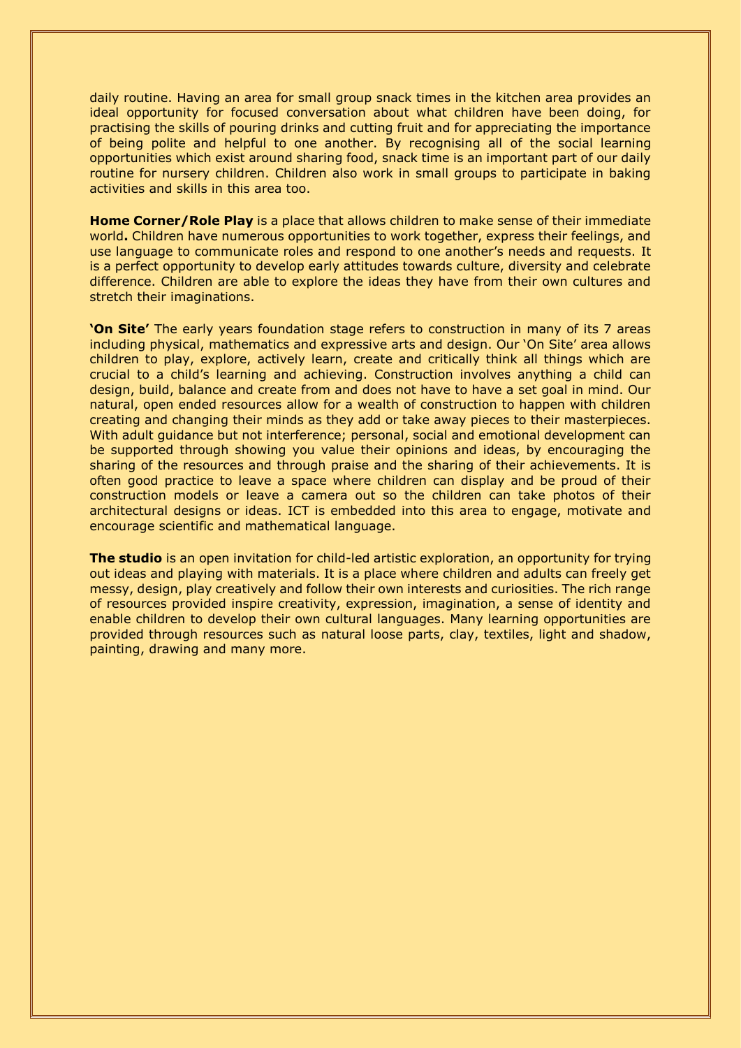daily routine. Having an area for small group snack times in the kitchen area provides an ideal opportunity for focused conversation about what children have been doing, for practising the skills of pouring drinks and cutting fruit and for appreciating the importance of being polite and helpful to one another. By recognising all of the social learning opportunities which exist around sharing food, snack time is an important part of our daily routine for nursery children. Children also work in small groups to participate in baking activities and skills in this area too.

**Home Corner/Role Play** is a place that allows children to make sense of their immediate world**.** Children have numerous opportunities to work together, express their feelings, and use language to communicate roles and respond to one another's needs and requests. It is a perfect opportunity to develop early attitudes towards culture, diversity and celebrate difference. Children are able to explore the ideas they have from their own cultures and stretch their imaginations.

**'On Site'** The early years foundation stage refers to construction in many of its 7 areas including physical, mathematics and expressive arts and design. Our 'On Site' area allows children to play, explore, actively learn, create and critically think all things which are crucial to a child's learning and achieving. Construction involves anything a child can design, build, balance and create from and does not have to have a set goal in mind. Our natural, open ended resources allow for a wealth of construction to happen with children creating and changing their minds as they add or take away pieces to their masterpieces. With adult guidance but not interference; personal, social and emotional development can be supported through showing you value their opinions and ideas, by encouraging the sharing of the resources and through praise and the sharing of their achievements. It is often good practice to leave a space where children can display and be proud of their construction models or leave a camera out so the children can take photos of their architectural designs or ideas. ICT is embedded into this area to engage, motivate and encourage scientific and mathematical language.

**The studio** is an open invitation for child-led artistic exploration, an opportunity for trying out ideas and playing with materials. It is a place where children and adults can freely get messy, design, play creatively and follow their own interests and curiosities. The rich range of resources provided inspire creativity, expression, imagination, a sense of identity and enable children to develop their own cultural languages. Many learning opportunities are provided through resources such as natural loose parts, clay, textiles, light and shadow, painting, drawing and many more.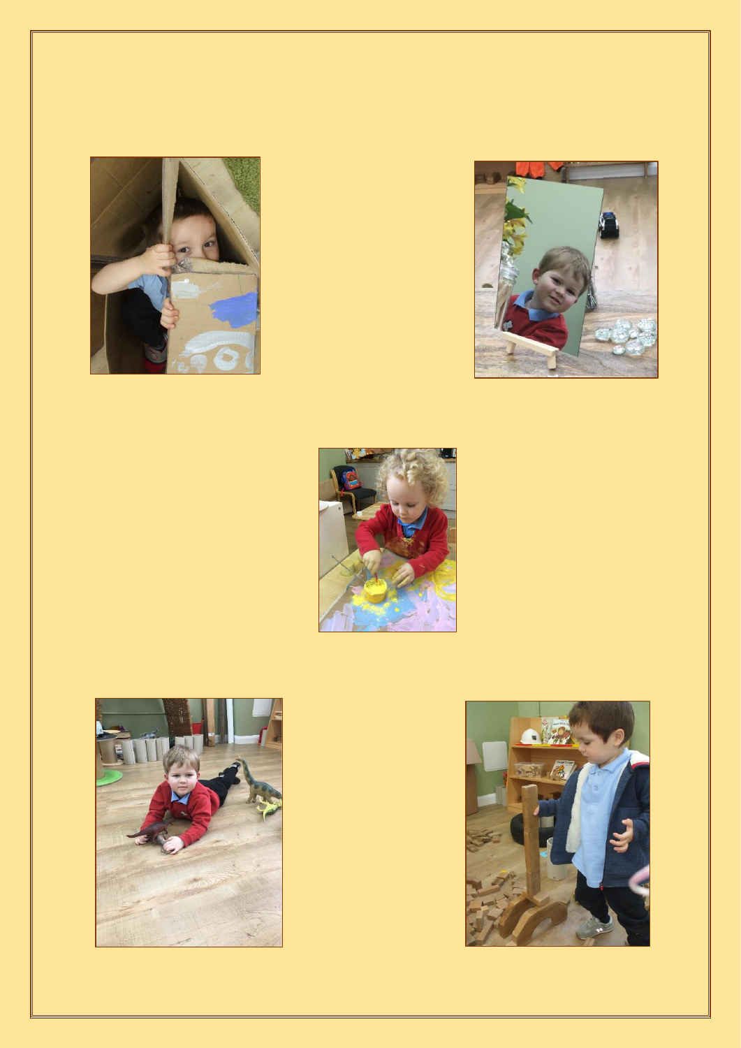







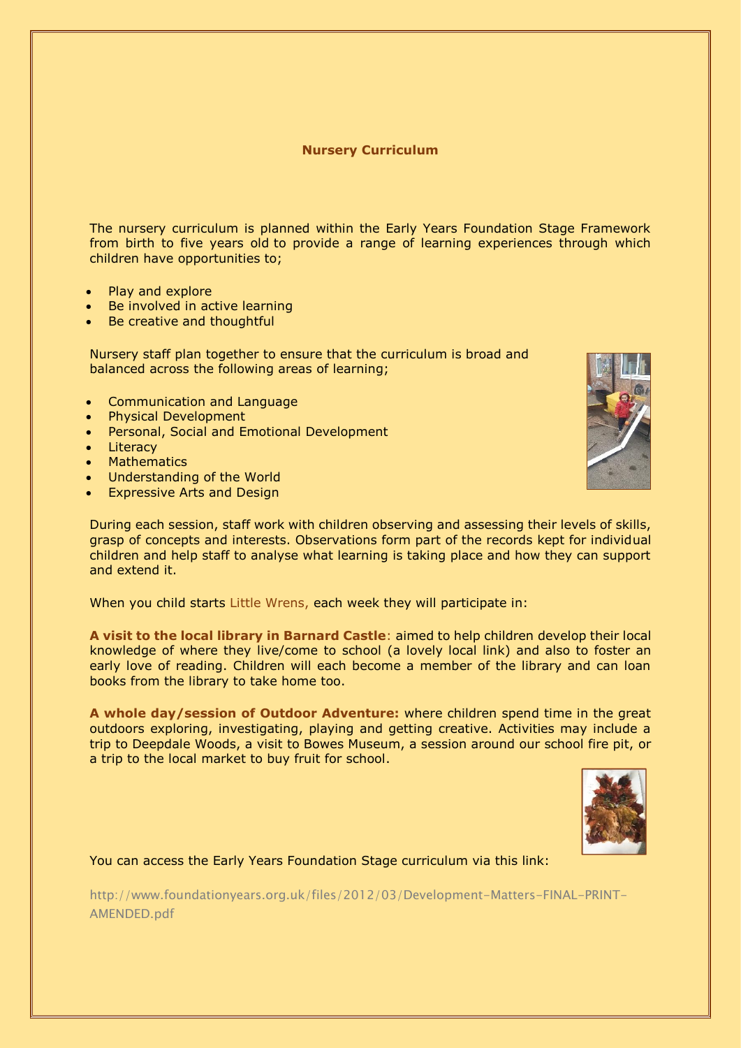#### **Nursery Curriculum**

The nursery curriculum is planned within the Early Years Foundation Stage Framework from birth to five years old to provide a range of learning experiences through which children have opportunities to;

- Play and explore
- Be involved in active learning
- **Be creative and thoughtful**

Nursery staff plan together to ensure that the curriculum is broad and balanced across the following areas of learning;

- Communication and Language
- Physical Development
- Personal, Social and Emotional Development
- **Literacy**
- **Mathematics**
- Understanding of the World
- Expressive Arts and Design



During each session, staff work with children observing and assessing their levels of skills, grasp of concepts and interests. Observations form part of the records kept for individual children and help staff to analyse what learning is taking place and how they can support and extend it.

When you child starts Little Wrens, each week they will participate in:

**A visit to the local library in Barnard Castle**: aimed to help children develop their local knowledge of where they live/come to school (a lovely local link) and also to foster an early love of reading. Children will each become a member of the library and can loan books from the library to take home too.

**A whole day/session of Outdoor Adventure:** where children spend time in the great outdoors exploring, investigating, playing and getting creative. Activities may include a trip to Deepdale Woods, a visit to Bowes Museum, a session around our school fire pit, or a trip to the local market to buy fruit for school.



You can access the Early Years Foundation Stage curriculum via this link:

[http://www.foundationyears.org.uk/files/2012/03/Development-Matters-FINAL-PRINT-](http://www.foundationyears.org.uk/files/2012/03/Development-Matters-FINAL-PRINT-AMENDED.pdf)[AMENDED.pdf](http://www.foundationyears.org.uk/files/2012/03/Development-Matters-FINAL-PRINT-AMENDED.pdf)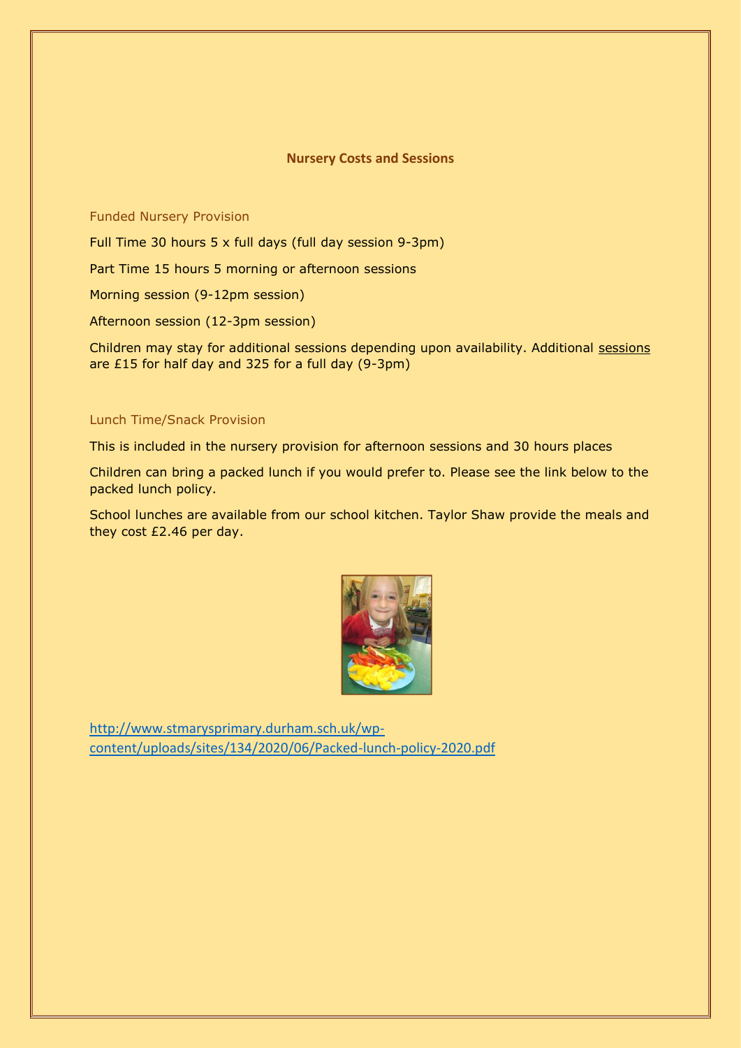#### **Nursery Costs and Sessions**

Funded Nursery Provision

Full Time 30 hours 5 x full days (full day session 9-3pm)

Part Time 15 hours 5 morning or afternoon sessions

Morning session (9-12pm session)

Afternoon session (12-3pm session)

Children may stay for additional sessions depending upon availability. Additional sessions are £15 for half day and 325 for a full day (9-3pm)

#### Lunch Time/Snack Provision

This is included in the nursery provision for afternoon sessions and 30 hours places

Children can bring a packed lunch if you would prefer to. Please see the link below to the packed lunch policy.

School lunches are available from our school kitchen. Taylor Shaw provide the meals and they cost £2.46 per day.



[http://www.stmarysprimary.durham.sch.uk/wp](http://www.stmarysprimary.durham.sch.uk/wp-content/uploads/sites/134/2020/06/Packed-lunch-policy-2020.pdf)[content/uploads/sites/134/2020/06/Packed-lunch-policy-2020.pdf](http://www.stmarysprimary.durham.sch.uk/wp-content/uploads/sites/134/2020/06/Packed-lunch-policy-2020.pdf)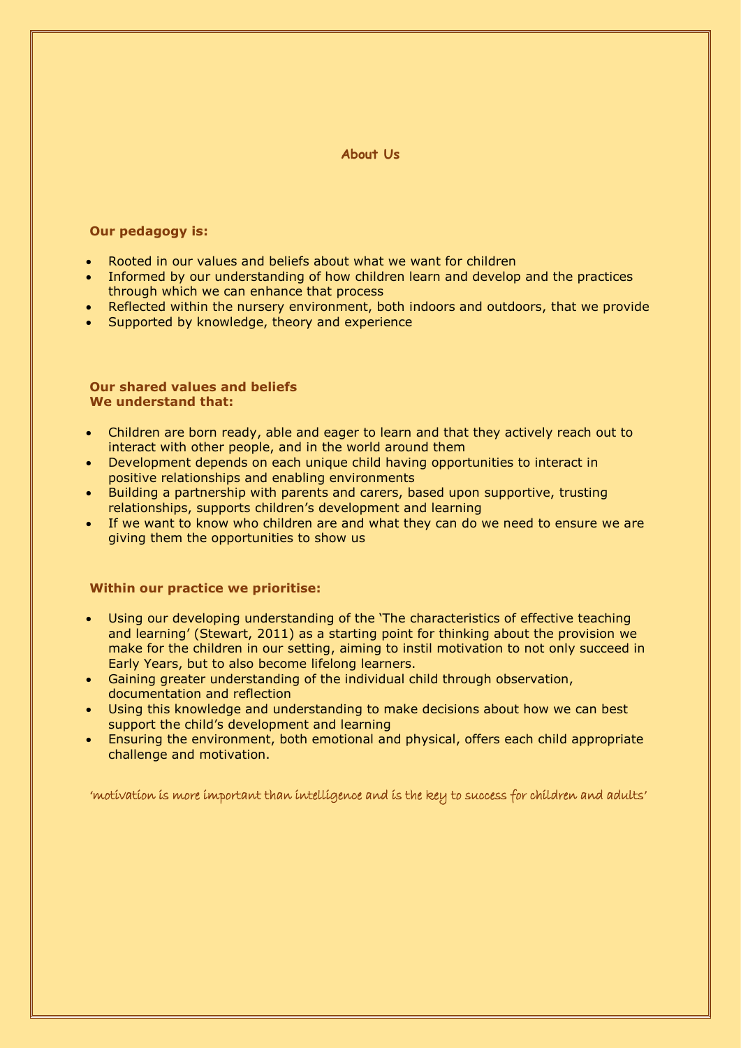#### **About Us**

#### **Our pedagogy is:**

- Rooted in our values and beliefs about what we want for children
- Informed by our understanding of how children learn and develop and the practices through which we can enhance that process
- Reflected within the nursery environment, both indoors and outdoors, that we provide
- Supported by knowledge, theory and experience

### **Our shared values and beliefs We understand that:**

- Children are born ready, able and eager to learn and that they actively reach out to interact with other people, and in the world around them
- Development depends on each unique child having opportunities to interact in positive relationships and enabling environments
- Building a partnership with parents and carers, based upon supportive, trusting relationships, supports children's development and learning
- If we want to know who children are and what they can do we need to ensure we are giving them the opportunities to show us

#### **Within our practice we prioritise:**

- Using our developing understanding of the 'The characteristics of effective teaching and learning' (Stewart, 2011) as a starting point for thinking about the provision we make for the children in our setting, aiming to instil motivation to not only succeed in Early Years, but to also become lifelong learners.
- Gaining greater understanding of the individual child through observation, documentation and reflection
- Using this knowledge and understanding to make decisions about how we can best support the child's development and learning
- Ensuring the environment, both emotional and physical, offers each child appropriate challenge and motivation.

'motivation is more important than intelligence and is the key to success for children and adults'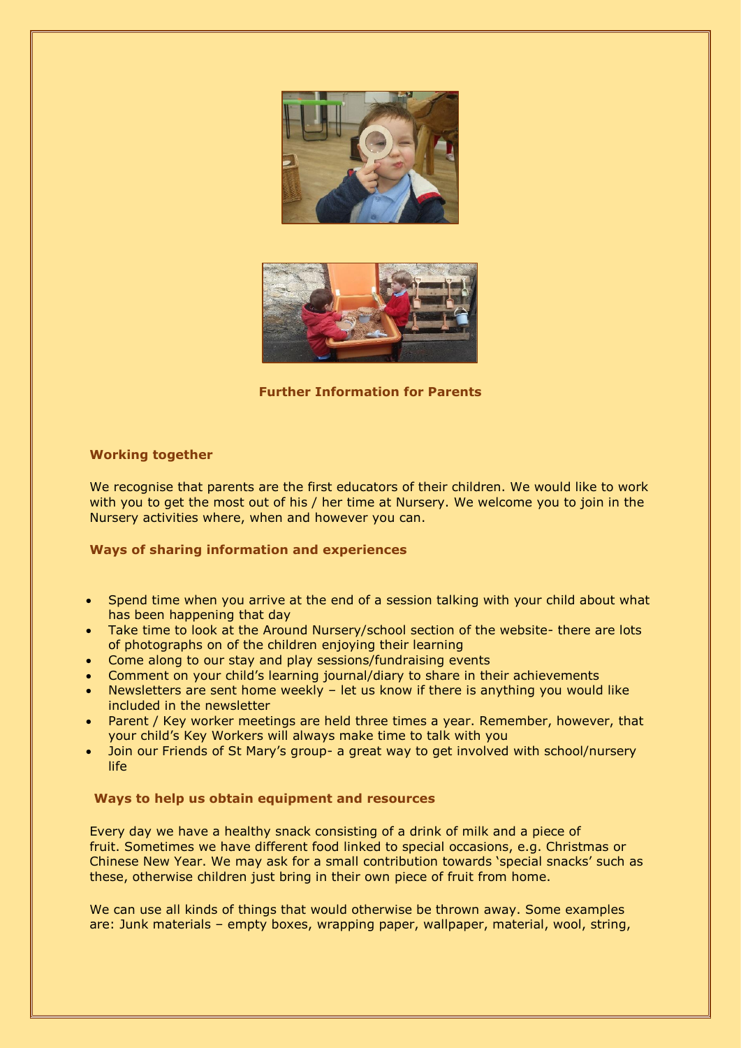



**Further Information for Parents**

#### **Working together**

We recognise that parents are the first educators of their children. We would like to work with you to get the most out of his / her time at Nursery. We welcome you to join in the Nursery activities where, when and however you can.

#### **Ways of sharing information and experiences**

#### • Spend time when you arrive at the end of a session talking with your child about what has been happening that day

- Take time to look at the Around Nursery/school section of the website- there are lots of photographs on of the children enjoying their learning
- Come along to our stay and play sessions/fundraising events
- Comment on your child's learning journal/diary to share in their achievements
- Newsletters are sent home weekly  $-$  let us know if there is anything you would like included in the newsletter
- Parent / Key worker meetings are held three times a year. Remember, however, that your child's Key Workers will always make time to talk with you
- Join our Friends of St Mary's group- a great way to get involved with school/nursery life

#### **Ways to help us obtain equipment and resources**

Every day we have a healthy snack consisting of a drink of milk and a piece of fruit. Sometimes we have different food linked to special occasions, e.g. Christmas or Chinese New Year. We may ask for a small contribution towards 'special snacks' such as these, otherwise children just bring in their own piece of fruit from home.

We can use all kinds of things that would otherwise be thrown away. Some examples are: Junk materials – empty boxes, wrapping paper, wallpaper, material, wool, string,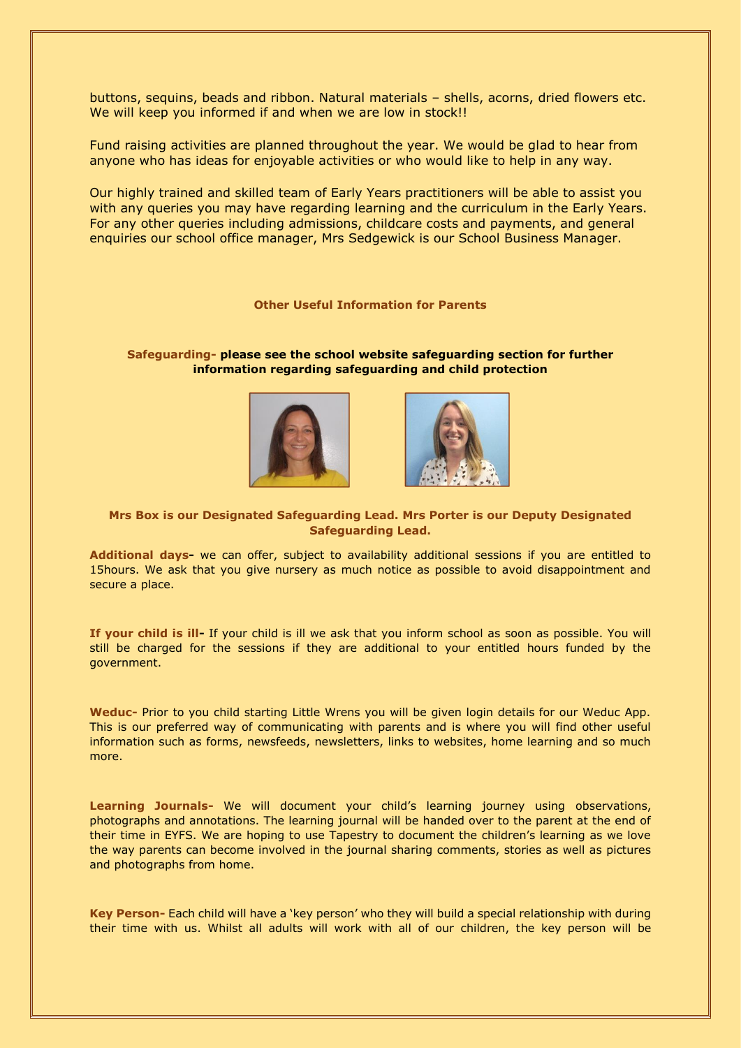buttons, sequins, beads and ribbon. Natural materials – shells, acorns, dried flowers etc. We will keep you informed if and when we are low in stock!!

Fund raising activities are planned throughout the year. We would be glad to hear from anyone who has ideas for enjoyable activities or who would like to help in any way.

Our highly trained and skilled team of Early Years practitioners will be able to assist you with any queries you may have regarding learning and the curriculum in the Early Years. For any other queries including admissions, childcare costs and payments, and general enquiries our school office manager, Mrs Sedgewick is our School Business Manager.

#### **Other Useful Information for Parents**

#### **Safeguarding- please see the school website safeguarding section for further information regarding safeguarding and child protection**





#### **Mrs Box is our Designated Safeguarding Lead. Mrs Porter is our Deputy Designated Safeguarding Lead.**

**Additional days-** we can offer, subject to availability additional sessions if you are entitled to 15hours. We ask that you give nursery as much notice as possible to avoid disappointment and secure a place.

**If your child is ill-** If your child is ill we ask that you inform school as soon as possible. You will still be charged for the sessions if they are additional to your entitled hours funded by the government.

**Weduc-** Prior to you child starting Little Wrens you will be given login details for our Weduc App. This is our preferred way of communicating with parents and is where you will find other useful information such as forms, newsfeeds, newsletters, links to websites, home learning and so much more.

**Learning Journals-** We will document your child's learning journey using observations, photographs and annotations. The learning journal will be handed over to the parent at the end of their time in EYFS. We are hoping to use Tapestry to document the children's learning as we love the way parents can become involved in the journal sharing comments, stories as well as pictures and photographs from home.

**Key Person-** Each child will have a 'key person' who they will build a special relationship with during their time with us. Whilst all adults will work with all of our children, the key person will be